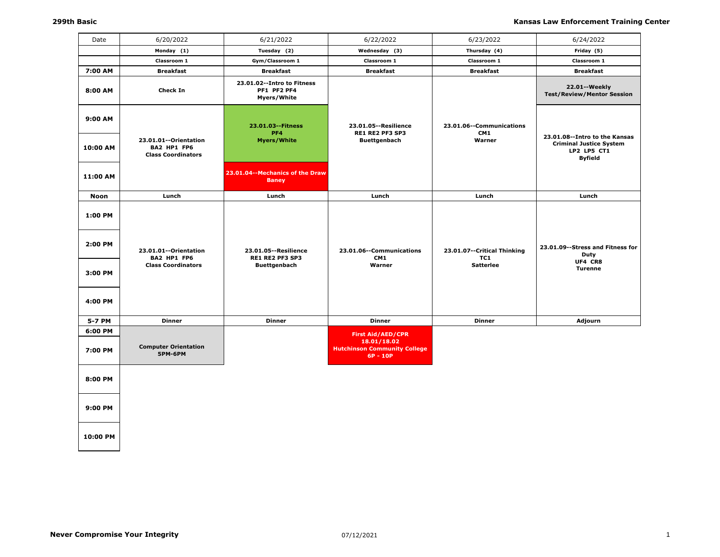| Date                                     | 6/20/2022                                                         | 6/21/2022                                                               | 6/22/2022                                                                                    | 6/23/2022                                              | 6/24/2022                                                                                        |
|------------------------------------------|-------------------------------------------------------------------|-------------------------------------------------------------------------|----------------------------------------------------------------------------------------------|--------------------------------------------------------|--------------------------------------------------------------------------------------------------|
|                                          | Monday (1)                                                        | Tuesday (2)                                                             | Wednesday (3)                                                                                | Thursday (4)                                           | Friday (5)                                                                                       |
|                                          | Classroom 1                                                       | Gym/Classroom 1                                                         | Classroom 1                                                                                  | Classroom 1                                            | Classroom 1                                                                                      |
| 7:00 AM                                  | <b>Breakfast</b>                                                  | <b>Breakfast</b>                                                        | <b>Breakfast</b>                                                                             | <b>Breakfast</b>                                       | <b>Breakfast</b>                                                                                 |
| 8:00 AM                                  | <b>Check In</b>                                                   | 23.01.02--Intro to Fitness<br>PF1 PF2 PF4<br>Myers/White                |                                                                                              |                                                        | 22.01 -- Weekly<br><b>Test/Review/Mentor Session</b>                                             |
| 9:00 AM                                  |                                                                   | 23.01.03 -- Fitness<br>PF4                                              | 23.01.05 -- Resilience<br>RE1 RE2 PF3 SP3                                                    | 23.01.06--Communications<br>CM1                        |                                                                                                  |
| 10:00 AM                                 | 23.01.01--Orientation<br>BA2 HP1 FP6<br><b>Class Coordinators</b> | <b>Myers/White</b>                                                      | <b>Buettgenbach</b>                                                                          | Warner                                                 | 23.01.08--Intro to the Kansas<br><b>Criminal Justice System</b><br>LP2 LP5 CT1<br><b>Byfield</b> |
| 11:00 AM                                 |                                                                   | 23.01.04--Mechanics of the Draw<br><b>Baney</b>                         |                                                                                              |                                                        |                                                                                                  |
| Noon                                     | Lunch                                                             | Lunch                                                                   | Lunch                                                                                        | Lunch                                                  | Lunch                                                                                            |
| 1:00 PM<br>2:00 PM<br>3:00 PM<br>4:00 PM | 23.01.01--Orientation<br>BA2 HP1 FP6<br><b>Class Coordinators</b> | 23.01.05 -- Resilience<br><b>RE1 RE2 PF3 SP3</b><br><b>Buettgenbach</b> | 23.01.06--Communications<br>CM1<br>Warner                                                    | 23.01.07--Critical Thinking<br>TC1<br><b>Satterlee</b> | 23.01.09--Stress and Fitness for<br>Duty<br>UF4 CR8<br><b>Turenne</b>                            |
| 5-7 PM                                   | <b>Dinner</b>                                                     | <b>Dinner</b>                                                           | <b>Dinner</b>                                                                                | <b>Dinner</b>                                          | Adjourn                                                                                          |
| 6:00 PM                                  |                                                                   |                                                                         |                                                                                              |                                                        |                                                                                                  |
| 7:00 PM                                  | <b>Computer Orientation</b><br>5PM-6PM                            |                                                                         | <b>First Aid/AED/CPR</b><br>18.01/18.02<br><b>Hutchinson Community College</b><br>$6P - 10P$ |                                                        |                                                                                                  |
| 8:00 PM                                  |                                                                   |                                                                         |                                                                                              |                                                        |                                                                                                  |
| 9:00 PM                                  |                                                                   |                                                                         |                                                                                              |                                                        |                                                                                                  |
| 10:00 PM                                 |                                                                   |                                                                         |                                                                                              |                                                        |                                                                                                  |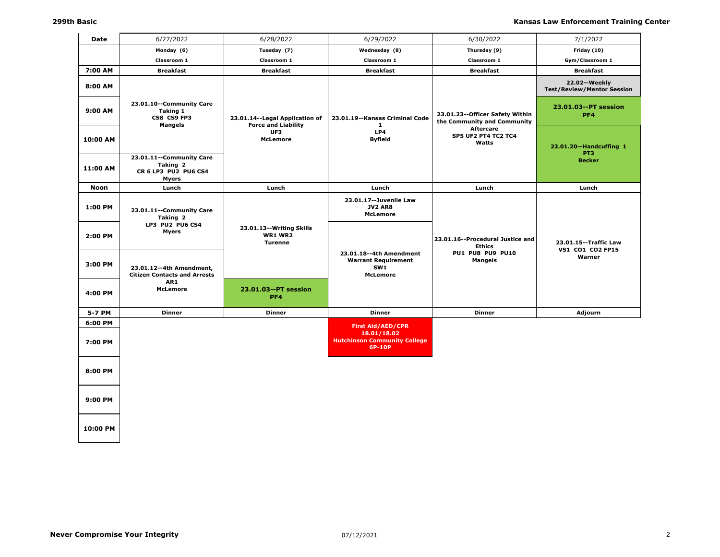| Date     | 6/27/2022                                                                    | 6/28/2022                                                      | 6/29/2022                                                                       | 6/30/2022                                                      | 7/1/2022                                           |
|----------|------------------------------------------------------------------------------|----------------------------------------------------------------|---------------------------------------------------------------------------------|----------------------------------------------------------------|----------------------------------------------------|
|          | Monday (6)                                                                   | Tuesday (7)                                                    | Wednesday (8)                                                                   | Thursday (9)                                                   | Friday (10)                                        |
|          | Classroom 1                                                                  | Classroom 1                                                    | Classroom 1                                                                     | Classroom 1                                                    | Gym/Classroom 1                                    |
| 7:00 AM  | <b>Breakfast</b>                                                             | <b>Breakfast</b>                                               | <b>Breakfast</b>                                                                | <b>Breakfast</b>                                               | <b>Breakfast</b>                                   |
| 8:00 AM  |                                                                              |                                                                |                                                                                 |                                                                | 22.02--Weekly<br><b>Test/Review/Mentor Session</b> |
| 9:00 AM  | 23.01.10--Community Care<br><b>Taking 1</b><br>CS8 CS9 FP3<br><b>Mangels</b> | 23.01.14 -- Legal Application of<br><b>Force and Liability</b> | 23.01.19--Kansas Criminal Code<br>$\mathbf{1}$                                  | 23.01.23--Officer Safety Within<br>the Community and Community | 23.01.03--PT session<br>PF4                        |
| 10:00 AM |                                                                              | UF3<br><b>McLemore</b>                                         | LP4<br><b>Byfield</b>                                                           | <b>Aftercare</b><br><b>SP5 UF2 PT4 TC2 TC4</b><br>Watts        | 23.01.20--Handcuffing 1<br>PT3                     |
| 11:00 AM | 23.01.11 -- Community Care<br>Taking 2<br>CR 6 LP3 PU2 PU6 CS4<br>Myers      |                                                                |                                                                                 |                                                                | <b>Becker</b>                                      |
| Noon     | Lunch                                                                        | Lunch                                                          | Lunch                                                                           | Lunch                                                          | Lunch                                              |
| 1:00 PM  | 23.01.11 -- Community Care<br>Taking 2                                       |                                                                | 23.01.17 -- Juvenile Law<br><b>JV2 AR8</b><br><b>McLemore</b>                   |                                                                |                                                    |
| 2:00 PM  | LP3 PU2 PU6 CS4<br><b>Myers</b>                                              | 23.01.13 -- Writing Skills<br><b>WR1 WR2</b><br><b>Turenne</b> |                                                                                 | 23.01.16--Procedural Justice and<br><b>Ethics</b>              | 23.01.15 -- Traffic Law<br>VS1 CO1 CO2 FP15        |
| 3:00 PM  | 23.01.12--4th Amendment,<br><b>Citizen Contacts and Arrests</b>              |                                                                | 23.01.18--4th Amendment<br><b>Warrant Requirement</b><br>SW1<br><b>McLemore</b> | <b>PU1 PU8 PU9 PU10</b><br><b>Mangels</b>                      | Warner                                             |
| 4:00 PM  | AR1<br><b>McLemore</b>                                                       | 23.01.03--PT session<br>PF4                                    |                                                                                 |                                                                |                                                    |
| 5-7 PM   | <b>Dinner</b>                                                                | <b>Dinner</b>                                                  | <b>Dinner</b>                                                                   | <b>Dinner</b>                                                  | Adjourn                                            |
| 6:00 PM  |                                                                              |                                                                | <b>First Aid/AED/CPR</b><br>18.01/18.02                                         |                                                                |                                                    |
| 7:00 PM  |                                                                              |                                                                | <b>Hutchinson Community College</b><br>6P-10P                                   |                                                                |                                                    |
| 8:00 PM  |                                                                              |                                                                |                                                                                 |                                                                |                                                    |
| 9:00 PM  |                                                                              |                                                                |                                                                                 |                                                                |                                                    |
| 10:00 PM |                                                                              |                                                                |                                                                                 |                                                                |                                                    |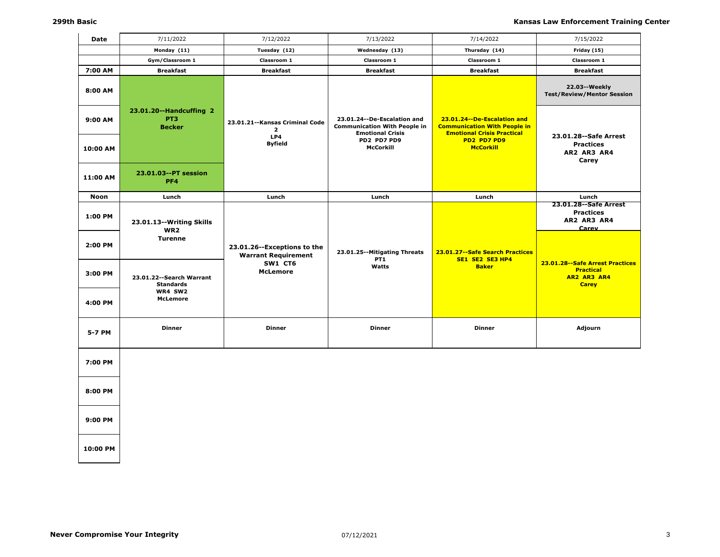| Date        | 7/11/2022                                                   | 7/12/2022                                                   | 7/13/2022                                                                                       | 7/14/2022                                                                                                 | 7/15/2022                                                                            |
|-------------|-------------------------------------------------------------|-------------------------------------------------------------|-------------------------------------------------------------------------------------------------|-----------------------------------------------------------------------------------------------------------|--------------------------------------------------------------------------------------|
|             | Monday (11)                                                 | Tuesday (12)                                                | Wednesday (13)                                                                                  | Thursday (14)                                                                                             | Friday (15)                                                                          |
|             | Gym/Classroom 1                                             | Classroom 1                                                 | Classroom 1                                                                                     | Classroom 1                                                                                               | Classroom 1                                                                          |
| 7:00 AM     | <b>Breakfast</b>                                            | <b>Breakfast</b>                                            | <b>Breakfast</b>                                                                                | <b>Breakfast</b>                                                                                          | <b>Breakfast</b>                                                                     |
| 8:00 AM     |                                                             |                                                             |                                                                                                 |                                                                                                           | 22.03--Weekly<br><b>Test/Review/Mentor Session</b>                                   |
| 9:00 AM     | 23.01.20--Handcuffing 2<br>PT <sub>3</sub><br><b>Becker</b> | 23.01.21 -- Kansas Criminal Code<br>$\overline{2}$<br>LP4   | 23.01.24 -- De-Escalation and<br><b>Communication With People in</b><br><b>Emotional Crisis</b> | 23.01.24 -- De-Escalation and<br><b>Communication With People in</b><br><b>Emotional Crisis Practical</b> | 23.01.28 -- Safe Arrest                                                              |
| 10:00 AM    |                                                             | <b>Byfield</b>                                              | PD2 PD7 PD9<br><b>McCorkill</b>                                                                 | PD2 PD7 PD9<br><b>McCorkill</b>                                                                           | <b>Practices</b><br>AR2 AR3 AR4<br>Carey                                             |
| 11:00 AM    | 23.01.03 -- PT session<br>PF4                               |                                                             |                                                                                                 |                                                                                                           |                                                                                      |
| <b>Noon</b> | Lunch                                                       | Lunch                                                       | Lunch                                                                                           | Lunch                                                                                                     | Lunch                                                                                |
| 1:00 PM     | 23.01.13 -- Writing Skills<br>WR2                           |                                                             |                                                                                                 |                                                                                                           | 23.01.28 -- Safe Arrest<br><b>Practices</b><br>AR2 AR3 AR4<br>Carev                  |
| 2:00 PM     | <b>Turenne</b>                                              | 23.01.26 -- Exceptions to the<br><b>Warrant Requirement</b> | 23.01.25 -- Mitigating Threats<br>PT <sub>1</sub>                                               | 23.01.27 -- Safe Search Practices<br>SE1 SE2 SE3 HP4                                                      |                                                                                      |
| 3:00 PM     | 23.01.22 -- Search Warrant<br><b>Standards</b>              | SW1 CT6<br><b>McLemore</b>                                  | Watts                                                                                           | <b>Baker</b>                                                                                              | 23.01.28 -- Safe Arrest Practices<br><b>Practical</b><br>AR2 AR3 AR4<br><b>Carey</b> |
| 4:00 PM     | WR4 SW2<br><b>McLemore</b>                                  |                                                             |                                                                                                 |                                                                                                           |                                                                                      |
| 5-7 PM      | <b>Dinner</b>                                               | <b>Dinner</b>                                               | <b>Dinner</b>                                                                                   | <b>Dinner</b>                                                                                             | Adjourn                                                                              |
| 7:00 PM     |                                                             |                                                             |                                                                                                 |                                                                                                           |                                                                                      |
| 8:00 PM     |                                                             |                                                             |                                                                                                 |                                                                                                           |                                                                                      |
| 9:00 PM     |                                                             |                                                             |                                                                                                 |                                                                                                           |                                                                                      |
| 10:00 PM    |                                                             |                                                             |                                                                                                 |                                                                                                           |                                                                                      |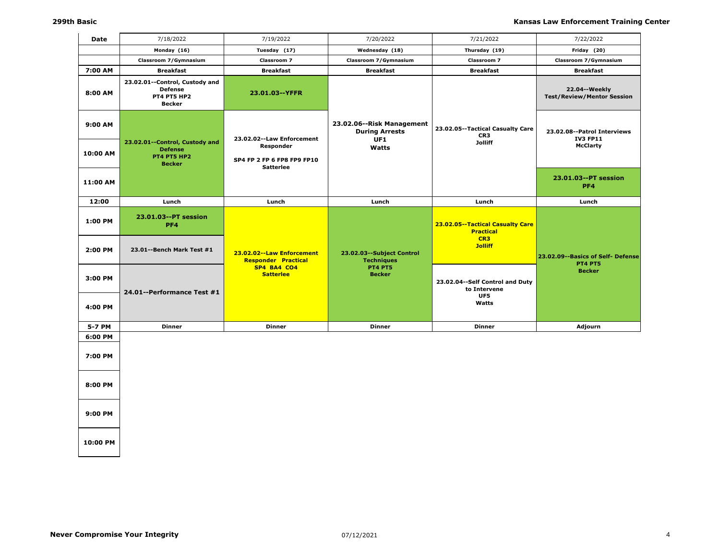| <b>Date</b>        | 7/18/2022                                                                               | 7/19/2022                                                     | 7/20/2022                                                 | 7/21/2022                                                                                 | 7/22/2022                                            |
|--------------------|-----------------------------------------------------------------------------------------|---------------------------------------------------------------|-----------------------------------------------------------|-------------------------------------------------------------------------------------------|------------------------------------------------------|
|                    | Monday (16)                                                                             | Tuesday (17)                                                  | Wednesday (18)                                            | Thursday (19)                                                                             | Friday (20)                                          |
|                    | Classroom 7/Gymnasium                                                                   | Classroom 7                                                   | Classroom 7/Gymnasium                                     | Classroom 7                                                                               | Classroom 7/Gymnasium                                |
| 7:00 AM            | <b>Breakfast</b>                                                                        | <b>Breakfast</b>                                              | <b>Breakfast</b>                                          | <b>Breakfast</b>                                                                          | <b>Breakfast</b>                                     |
| 8:00 AM            | 23.02.01--Control, Custody and<br><b>Defense</b><br><b>PT4 PT5 HP2</b><br><b>Becker</b> | 23.01.03--YFFR                                                |                                                           |                                                                                           | 22.04 -- Weekly<br><b>Test/Review/Mentor Session</b> |
| 9:00 AM            |                                                                                         | 23.02.02 -- Law Enforcement                                   | 23.02.06--Risk Management<br><b>During Arrests</b><br>UF1 | 23.02.05--Tactical Casualty Care<br>CR <sub>3</sub>                                       | 23.02.08--Patrol Interviews<br><b>IV3 FP11</b>       |
| 10:00 AM           | 23.02.01--Control, Custody and<br><b>Defense</b><br>PT4 PT5 HP2<br><b>Becker</b>        | Responder<br>SP4 FP 2 FP 6 FP8 FP9 FP10<br><b>Satterlee</b>   | Watts                                                     | <b>Jolliff</b>                                                                            | <b>McClarty</b>                                      |
| 11:00 AM           |                                                                                         |                                                               |                                                           |                                                                                           | 23.01.03--PT session<br>PF4                          |
| 12:00              | Lunch                                                                                   | Lunch                                                         | Lunch                                                     | Lunch                                                                                     | Lunch                                                |
| 1:00 PM<br>2:00 PM | 23.01.03--PT session<br>PF4<br>23.01--Bench Mark Test #1                                | 23.02.02--Law Enforcement                                     | 23.02.03 -- Subject Control                               | 23.02.05--Tactical Casualty Care<br><b>Practical</b><br>CR <sub>3</sub><br><b>Jolliff</b> | 23.02.09 - Basics of Self - Defense                  |
| 3:00 PM            | 24.01--Performance Test #1                                                              | <b>Responder Practical</b><br>SP4 BA4 CO4<br><b>Satterlee</b> | <b>Techniques</b><br><b>PT4 PT5</b><br><b>Becker</b>      | 23.02.04--Self Control and Duty<br>to Intervene<br>UF5                                    | <b>PT4 PT5</b><br><b>Becker</b>                      |
| 4:00 PM            |                                                                                         |                                                               |                                                           | Watts                                                                                     |                                                      |
| 5-7 PM             | <b>Dinner</b>                                                                           | <b>Dinner</b>                                                 | <b>Dinner</b>                                             | <b>Dinner</b>                                                                             | Adjourn                                              |
| 6:00 PM<br>7:00 PM |                                                                                         |                                                               |                                                           |                                                                                           |                                                      |
| 8:00 PM            |                                                                                         |                                                               |                                                           |                                                                                           |                                                      |
| 9:00 PM            |                                                                                         |                                                               |                                                           |                                                                                           |                                                      |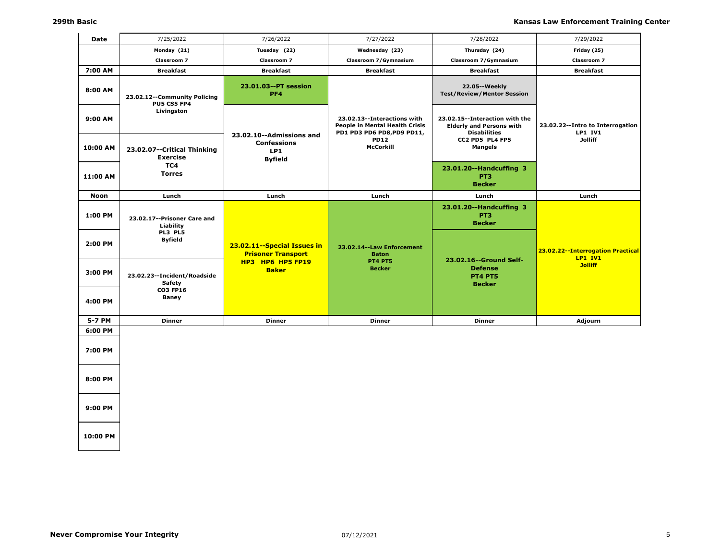| Date        | 7/25/2022                                             | 7/26/2022                                                               | 7/27/2022                                                                                   | 7/28/2022                                                                                | 7/29/2022                                           |
|-------------|-------------------------------------------------------|-------------------------------------------------------------------------|---------------------------------------------------------------------------------------------|------------------------------------------------------------------------------------------|-----------------------------------------------------|
|             | Monday (21)                                           | Tuesday (22)                                                            | Wednesday (23)                                                                              | Thursday (24)                                                                            | Friday (25)                                         |
|             | Classroom 7                                           | Classroom 7                                                             | Classroom 7/Gymnasium                                                                       | Classroom 7/Gymnasium                                                                    | Classroom 7                                         |
| 7:00 AM     | <b>Breakfast</b>                                      | <b>Breakfast</b>                                                        | <b>Breakfast</b>                                                                            | <b>Breakfast</b>                                                                         | <b>Breakfast</b>                                    |
| 8:00 AM     | 23.02.12--Community Policing<br>PU5 CS5 FP4           | 23.01.03--PT session<br>PF4                                             |                                                                                             | 22.05 -- Weekly<br><b>Test/Review/Mentor Session</b>                                     |                                                     |
| 9:00 AM     | Livingston                                            |                                                                         | 23.02.13--Interactions with<br>People in Mental Health Crisis<br>PD1 PD3 PD6 PD8, PD9 PD11, | 23.02.15--Interaction with the<br><b>Elderly and Persons with</b><br><b>Disabilities</b> | 23.02.22--Intro to Interrogation<br><b>LP1 IV1</b>  |
| 10:00 AM    | 23.02.07--Critical Thinking<br><b>Exercise</b>        | 23.02.10--Admissions and<br><b>Confessions</b><br>LP1<br><b>Byfield</b> | <b>PD12</b><br><b>McCorkill</b>                                                             | CC2 PD5 PL4 FP5<br><b>Mangels</b>                                                        | <b>Jolliff</b>                                      |
| 11:00 AM    | TC4<br><b>Torres</b>                                  |                                                                         |                                                                                             | 23.01.20--Handcuffing 3<br>PT <sub>3</sub><br><b>Becker</b>                              |                                                     |
| <b>Noon</b> | Lunch                                                 | Lunch                                                                   | Lunch                                                                                       | Lunch                                                                                    | Lunch                                               |
| 1:00 PM     | 23.02.17 -- Prisoner Care and<br>Liability<br>PL3 PL5 |                                                                         |                                                                                             | 23.01.20--Handcuffing 3<br>PT <sub>3</sub><br><b>Becker</b>                              |                                                     |
| 2:00 PM     | <b>Byfield</b>                                        | 23.02.11 -- Special Issues in<br><b>Prisoner Transport</b>              | 23.02.14 -- Law Enforcement<br><b>Baton</b>                                                 | 23.02.16--Ground Self-                                                                   | 23.02.22--Interrogation Practical<br><b>LP1 IV1</b> |
| 3:00 PM     | 23.02.23 -- Incident/Roadside<br>Safety               | HP3 HP6 HP5 FP19<br><b>Baker</b>                                        | <b>PT4 PT5</b><br><b>Becker</b>                                                             | <b>Defense</b><br><b>PT4 PT5</b><br><b>Becker</b>                                        | <b>Jolliff</b>                                      |
| 4:00 PM     | <b>CO3 FP16</b><br><b>Baney</b>                       |                                                                         |                                                                                             |                                                                                          |                                                     |
| 5-7 PM      | <b>Dinner</b>                                         | <b>Dinner</b>                                                           | <b>Dinner</b>                                                                               | <b>Dinner</b>                                                                            | Adjourn                                             |
| 6:00 PM     |                                                       |                                                                         |                                                                                             |                                                                                          |                                                     |
| 7:00 PM     |                                                       |                                                                         |                                                                                             |                                                                                          |                                                     |
| 8:00 PM     |                                                       |                                                                         |                                                                                             |                                                                                          |                                                     |
| 9:00 PM     |                                                       |                                                                         |                                                                                             |                                                                                          |                                                     |
|             |                                                       |                                                                         |                                                                                             |                                                                                          |                                                     |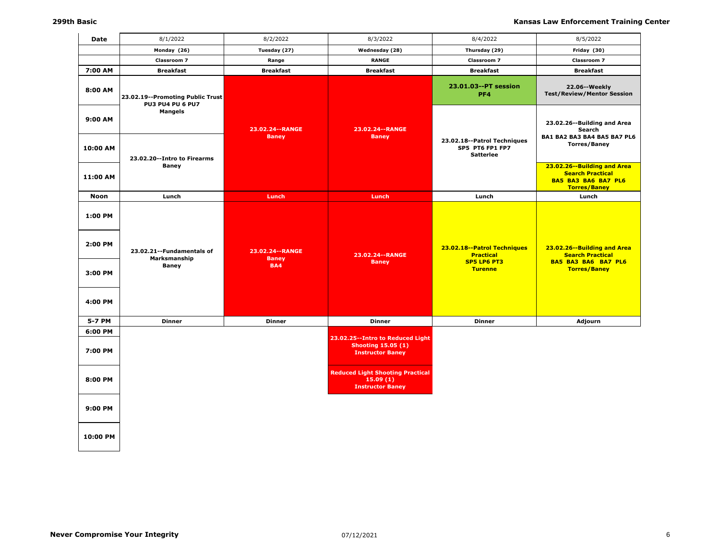| Date                                     | 8/1/2022                                                    | 8/2/2022                                        | 8/3/2022                                                                                 | 8/4/2022                                                                         | 8/5/2022                                                                                                    |
|------------------------------------------|-------------------------------------------------------------|-------------------------------------------------|------------------------------------------------------------------------------------------|----------------------------------------------------------------------------------|-------------------------------------------------------------------------------------------------------------|
|                                          | Monday (26)                                                 | Tuesday (27)                                    | Wednesday (28)                                                                           | Thursday (29)                                                                    | Friday (30)                                                                                                 |
|                                          | Classroom 7                                                 | Range                                           | <b>RANGE</b>                                                                             | <b>Classroom 7</b>                                                               | Classroom 7                                                                                                 |
| 7:00 AM                                  | <b>Breakfast</b>                                            | <b>Breakfast</b>                                | <b>Breakfast</b>                                                                         | <b>Breakfast</b>                                                                 | <b>Breakfast</b>                                                                                            |
| 8:00 AM                                  | 23.02.19--Promoting Public Trust<br><b>PU3 PU4 PU 6 PU7</b> |                                                 |                                                                                          | 23.01.03--PT session<br>PF4                                                      | 22.06 -- Weekly<br><b>Test/Review/Mentor Session</b>                                                        |
| 9:00 AM                                  | <b>Mangels</b>                                              | 23.02.24 -- RANGE<br><b>Baney</b>               | 23.02.24 -- RANGE<br><b>Baney</b>                                                        | 23.02.18--Patrol Techniques                                                      | 23.02.26--Building and Area<br>Search<br>BA1 BA2 BA3 BA4 BA5 BA7 PL6                                        |
| 10:00 AM                                 | 23.02.20--Intro to Firearms                                 |                                                 |                                                                                          | SP5 PT6 FP1 FP7<br><b>Satterlee</b>                                              | <b>Torres/Baney</b>                                                                                         |
| 11:00 AM                                 | <b>Baney</b>                                                |                                                 |                                                                                          |                                                                                  | 23.02.26--Building and Area<br><b>Search Practical</b><br><b>BA5 BA3 BA6 BA7 PL6</b><br><b>Torres/Baney</b> |
| Noon                                     | Lunch                                                       | Lunch                                           | Lunch                                                                                    | Lunch                                                                            | Lunch                                                                                                       |
| 1:00 PM<br>2:00 PM<br>3:00 PM<br>4:00 PM | 23.02.21 -- Fundamentals of<br>Marksmanship<br><b>Baney</b> | 23.02.24 -- RANGE<br><b>Baney</b><br><b>BA4</b> | 23.02.24 -- RANGE<br><b>Baney</b>                                                        | 23.02.18--Patrol Techniques<br><b>Practical</b><br>SP5 LP6 PT3<br><b>Turenne</b> | 23.02.26--Building and Area<br><b>Search Practical</b><br>BA5 BA3 BA6 BA7 PL6<br><b>Torres/Baney</b>        |
| 5-7 PM                                   | <b>Dinner</b>                                               | <b>Dinner</b>                                   | <b>Dinner</b>                                                                            | <b>Dinner</b>                                                                    | Adjourn                                                                                                     |
| 6:00 PM                                  |                                                             |                                                 |                                                                                          |                                                                                  |                                                                                                             |
| 7:00 PM                                  |                                                             |                                                 | 23.02.25--Intro to Reduced Light<br><b>Shooting 15.05 (1)</b><br><b>Instructor Baney</b> |                                                                                  |                                                                                                             |
| 8:00 PM                                  |                                                             |                                                 | <b>Reduced Light Shooting Practical</b><br>15.09(1)<br><b>Instructor Baney</b>           |                                                                                  |                                                                                                             |
| 9:00 PM                                  |                                                             |                                                 |                                                                                          |                                                                                  |                                                                                                             |
| 10:00 PM                                 |                                                             |                                                 |                                                                                          |                                                                                  |                                                                                                             |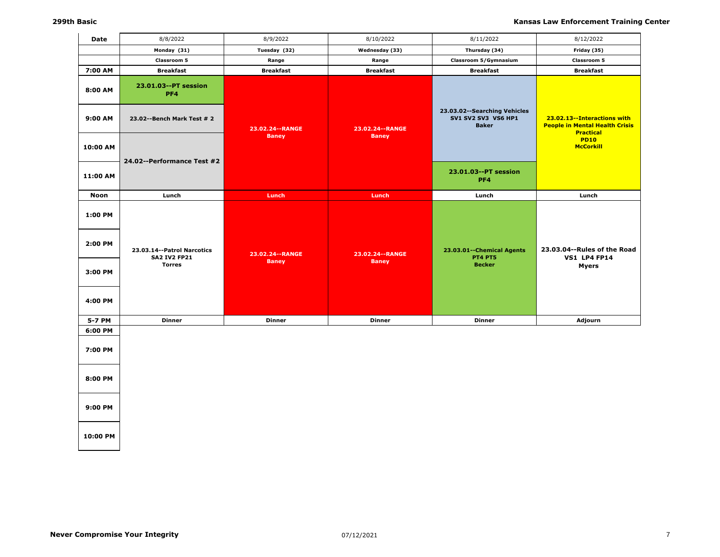| Date     | 8/8/2022                                            | 8/9/2022          | 8/10/2022         | 8/11/2022                                                           | 8/12/2022                                                                                |
|----------|-----------------------------------------------------|-------------------|-------------------|---------------------------------------------------------------------|------------------------------------------------------------------------------------------|
|          | Monday (31)                                         | Tuesday (32)      | Wednesday (33)    | Thursday (34)                                                       | Friday (35)                                                                              |
|          | Classroom 5                                         | Range             | Range             | Classroom 5/Gymnasium                                               | Classroom 5                                                                              |
| 7:00 AM  | <b>Breakfast</b>                                    | <b>Breakfast</b>  | <b>Breakfast</b>  | <b>Breakfast</b>                                                    | <b>Breakfast</b>                                                                         |
| 8:00 AM  | 23.01.03--PT session<br>PF4                         |                   |                   |                                                                     |                                                                                          |
| 9:00 AM  | 23.02--Bench Mark Test # 2                          | 23.02.24 -- RANGE | 23.02.24 -- RANGE | 23.03.02--Searching Vehicles<br>SV1 SV2 SV3 VS6 HP1<br><b>Baker</b> | 23.02.13--Interactions with<br><b>People in Mental Health Crisis</b><br><b>Practical</b> |
| 10:00 AM | 24.02--Performance Test #2                          | <b>Baney</b>      | <b>Baney</b>      |                                                                     | <b>PD10</b><br><b>McCorkill</b>                                                          |
| 11:00 AM |                                                     |                   |                   | 23.01.03--PT session<br>PF <sub>4</sub>                             |                                                                                          |
| Noon     | Lunch                                               | Lunch             | Lunch             | Lunch                                                               | Lunch                                                                                    |
| 1:00 PM  |                                                     |                   |                   |                                                                     |                                                                                          |
| 2:00 PM  | 23.03.14 -- Patrol Narcotics<br><b>SA2 IV2 FP21</b> | 23.02.24 -- RANGE | 23.02.24 -- RANGE | 23.03.01 -- Chemical Agents<br><b>PT4 PT5</b>                       | 23.03.04--Rules of the Road<br><b>VS1 LP4 FP14</b>                                       |
| 3:00 PM  | <b>Torres</b>                                       | <b>Baney</b>      | <b>Baney</b>      | <b>Becker</b>                                                       | <b>Myers</b>                                                                             |
| 4:00 PM  |                                                     |                   |                   |                                                                     |                                                                                          |
| 5-7 PM   | <b>Dinner</b>                                       | <b>Dinner</b>     | <b>Dinner</b>     | <b>Dinner</b>                                                       | Adjourn                                                                                  |
| 6:00 PM  |                                                     |                   |                   |                                                                     |                                                                                          |
| 7:00 PM  |                                                     |                   |                   |                                                                     |                                                                                          |
| 8:00 PM  |                                                     |                   |                   |                                                                     |                                                                                          |
| 9:00 PM  |                                                     |                   |                   |                                                                     |                                                                                          |
|          |                                                     |                   |                   |                                                                     |                                                                                          |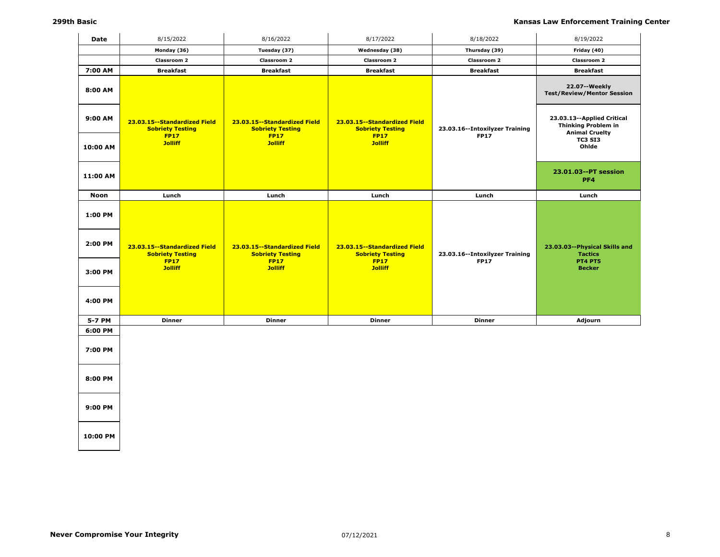| Date     | 8/15/2022                                                                | 8/16/2022                                                                | 8/17/2022                                                                | 8/18/2022                                       | 8/19/2022                                                                         |
|----------|--------------------------------------------------------------------------|--------------------------------------------------------------------------|--------------------------------------------------------------------------|-------------------------------------------------|-----------------------------------------------------------------------------------|
|          | Monday (36)                                                              | Tuesday (37)                                                             | Wednesday (38)                                                           | Thursday (39)                                   | Friday (40)                                                                       |
|          | Classroom 2                                                              | Classroom 2                                                              | Classroom 2                                                              | Classroom 2                                     | Classroom 2                                                                       |
| 7:00 AM  | <b>Breakfast</b>                                                         | <b>Breakfast</b>                                                         | <b>Breakfast</b>                                                         | <b>Breakfast</b>                                | <b>Breakfast</b>                                                                  |
| 8:00 AM  |                                                                          |                                                                          |                                                                          |                                                 | 22.07--Weekly<br><b>Test/Review/Mentor Session</b>                                |
| 9:00 AM  | 23.03.15--Standardized Field<br><b>Sobriety Testing</b>                  | 23.03.15 -- Standardized Field<br><b>Sobriety Testing</b>                | 23.03.15 -- Standardized Field<br><b>Sobriety Testing</b>                | 23.03.16--Intoxilyzer Training                  | 23.03.13--Applied Critical<br><b>Thinking Problem in</b><br><b>Animal Cruelty</b> |
| 10:00 AM | <b>FP17</b><br><b>Jolliff</b>                                            | <b>FP17</b><br><b>Jolliff</b>                                            | <b>FP17</b><br><b>Jolliff</b>                                            | <b>FP17</b>                                     | TC3 SI3<br>Ohlde                                                                  |
| 11:00 AM |                                                                          |                                                                          |                                                                          |                                                 | 23.01.03--PT session<br>PF4                                                       |
| Noon     | Lunch                                                                    | Lunch                                                                    | Lunch                                                                    | Lunch                                           | Lunch                                                                             |
| 1:00 PM  |                                                                          |                                                                          |                                                                          |                                                 |                                                                                   |
| 2:00 PM  | 23.03.15 -- Standardized Field<br><b>Sobriety Testing</b><br><b>FP17</b> | 23.03.15 -- Standardized Field<br><b>Sobriety Testing</b><br><b>FP17</b> | 23.03.15 -- Standardized Field<br><b>Sobriety Testing</b><br><b>FP17</b> | 23.03.16 -- Intoxilyzer Training<br><b>FP17</b> | 23.03.03--Physical Skills and<br><b>Tactics</b><br><b>PT4 PT5</b>                 |
| 3:00 PM  | <b>Jolliff</b>                                                           | <b>Jolliff</b>                                                           | <b>Jolliff</b>                                                           |                                                 | <b>Becker</b>                                                                     |
| 4:00 PM  |                                                                          |                                                                          |                                                                          |                                                 |                                                                                   |
| 5-7 PM   | <b>Dinner</b>                                                            | <b>Dinner</b>                                                            | <b>Dinner</b>                                                            | <b>Dinner</b>                                   | Adjourn                                                                           |
| 6:00 PM  |                                                                          |                                                                          |                                                                          |                                                 |                                                                                   |
| 7:00 PM  |                                                                          |                                                                          |                                                                          |                                                 |                                                                                   |
| 8:00 PM  |                                                                          |                                                                          |                                                                          |                                                 |                                                                                   |
| 9:00 PM  |                                                                          |                                                                          |                                                                          |                                                 |                                                                                   |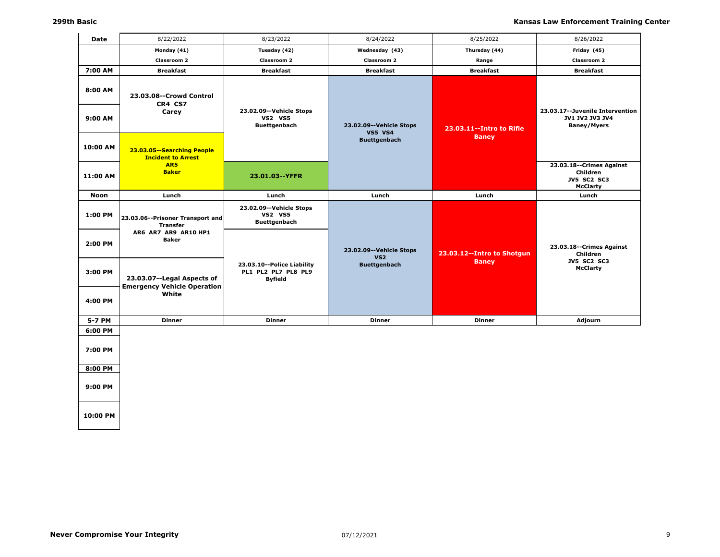| Date     | 8/22/2022                                                        | 8/23/2022                                                           | 8/24/2022                                   | 8/25/2022                    | 8/26/2022                                                                       |
|----------|------------------------------------------------------------------|---------------------------------------------------------------------|---------------------------------------------|------------------------------|---------------------------------------------------------------------------------|
|          | Monday (41)                                                      | Tuesday (42)                                                        | Wednesday (43)                              | Thursday (44)                | Friday (45)                                                                     |
|          | Classroom 2                                                      | Classroom 2                                                         | Classroom 2                                 | Range                        | Classroom 2                                                                     |
| 7:00 AM  | <b>Breakfast</b>                                                 | <b>Breakfast</b>                                                    | <b>Breakfast</b>                            | <b>Breakfast</b>             | <b>Breakfast</b>                                                                |
| 8:00 AM  | 23.03.08--Crowd Control<br>CR4 CS7                               |                                                                     |                                             |                              |                                                                                 |
| 9:00 AM  | Carey                                                            | 23.02.09--Vehicle Stops<br><b>VS2 VS5</b><br><b>Buettgenbach</b>    | 23.02.09 -- Vehicle Stops<br><b>VS5 VS4</b> | 23.03.11 -- Intro to Rifle   | 23.03.17 -- Juvenile Intervention<br>JV1 JV2 JV3 JV4<br><b>Baney/Myers</b>      |
| 10:00 AM | 23.03.05--Searching People<br><b>Incident to Arrest</b>          |                                                                     | <b>Buettgenbach</b>                         | <b>Baney</b>                 |                                                                                 |
| 11:00 AM | AR5<br><b>Baker</b>                                              | 23.01.03--YFFR                                                      |                                             |                              | 23.03.18 -- Crimes Against<br>Children<br><b>JV5 SC2 SC3</b><br><b>McClarty</b> |
| Noon     | Lunch                                                            | Lunch                                                               | Lunch                                       | Lunch                        | Lunch                                                                           |
| 1:00 PM  | 23.03.06--Prisoner Transport and<br><b>Transfer</b>              | 23.02.09--Vehicle Stops<br><b>VS2 VS5</b><br><b>Buettgenbach</b>    |                                             |                              |                                                                                 |
| 2:00 PM  | AR6 AR7 AR9 AR10 HP1<br><b>Baker</b>                             |                                                                     | 23.02.09 -- Vehicle Stops<br><b>VS2</b>     | 23.03.12 -- Intro to Shotgun | 23.03.18 -- Crimes Against<br>Children                                          |
| 3:00 PM  | 23.03.07--Legal Aspects of<br><b>Emergency Vehicle Operation</b> | 23.03.10--Police Liability<br>PL1 PL2 PL7 PL8 PL9<br><b>Byfield</b> | <b>Buettgenbach</b>                         | <b>Baney</b>                 | <b>JV5 SC2 SC3</b><br><b>McClarty</b>                                           |
| 4:00 PM  | White                                                            |                                                                     |                                             |                              |                                                                                 |
| 5-7 PM   | <b>Dinner</b>                                                    | <b>Dinner</b>                                                       | <b>Dinner</b>                               | <b>Dinner</b>                | Adjourn                                                                         |
| 6:00 PM  |                                                                  |                                                                     |                                             |                              |                                                                                 |
| 7:00 PM  |                                                                  |                                                                     |                                             |                              |                                                                                 |
| 8:00 PM  |                                                                  |                                                                     |                                             |                              |                                                                                 |
| 9:00 PM  |                                                                  |                                                                     |                                             |                              |                                                                                 |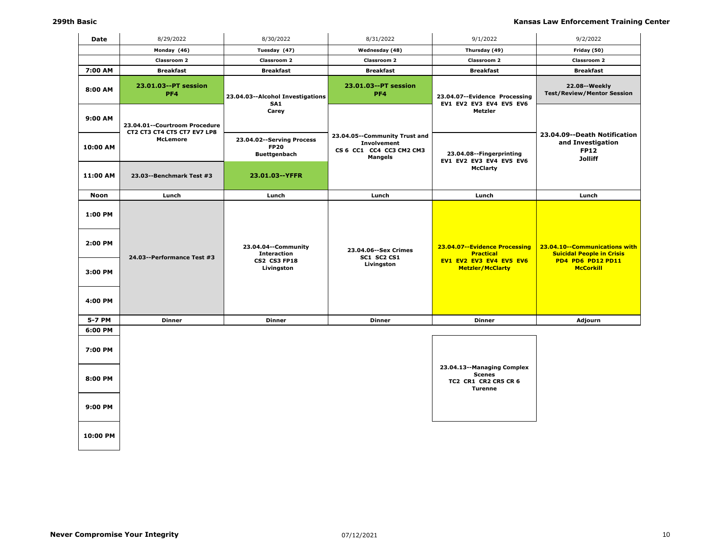| Date     | 8/29/2022                                                    | 8/30/2022                                                         | 8/31/2022                                                                                         | 9/1/2022                                                                              | 9/2/2022                                                                           |
|----------|--------------------------------------------------------------|-------------------------------------------------------------------|---------------------------------------------------------------------------------------------------|---------------------------------------------------------------------------------------|------------------------------------------------------------------------------------|
|          | Monday (46)                                                  | Tuesday (47)                                                      | Wednesday (48)                                                                                    | Thursday (49)                                                                         | Friday (50)                                                                        |
|          | <b>Classroom 2</b>                                           | Classroom 2                                                       | Classroom 2                                                                                       | Classroom 2                                                                           | Classroom 2                                                                        |
| 7:00 AM  | <b>Breakfast</b>                                             | <b>Breakfast</b>                                                  | <b>Breakfast</b>                                                                                  | <b>Breakfast</b>                                                                      | <b>Breakfast</b>                                                                   |
| 8:00 AM  | 23.01.03--PT session<br>PF4                                  | 23.04.03--Alcohol Investigations<br>SA <sub>1</sub>               | 23.01.03--PT session<br>PF4                                                                       | 23.04.07--Evidence Processing<br>EV1 EV2 EV3 EV4 EV5 EV6                              | 22.08--Weekly<br><b>Test/Review/Mentor Session</b>                                 |
| 9:00 AM  | 23.04.01--Courtroom Procedure<br>CT2 CT3 CT4 CT5 CT7 EV7 LP8 | Carey                                                             |                                                                                                   | Metzler                                                                               |                                                                                    |
| 10:00 AM | McLemore                                                     | 23.04.02 -- Serving Process<br><b>FP20</b><br><b>Buettgenbach</b> | 23.04.05--Community Trust and<br><b>Involvement</b><br>CS 6 CC1 CC4 CC3 CM2 CM3<br><b>Mangels</b> | 23.04.08 -- Fingerprinting                                                            | 23.04.09--Death Notification<br>and Investigation<br><b>FP12</b><br><b>Jolliff</b> |
| 11:00 AM | 23.03--Benchmark Test #3                                     | 23.01.03--YFFR                                                    |                                                                                                   | EV1 EV2 EV3 EV4 EV5 EV6<br><b>McClarty</b>                                            |                                                                                    |
| Noon     | Lunch                                                        | Lunch                                                             | Lunch                                                                                             | Lunch                                                                                 | Lunch                                                                              |
| 1:00 PM  |                                                              |                                                                   |                                                                                                   |                                                                                       |                                                                                    |
| 2:00 PM  | 24.03--Performance Test #3                                   | 23.04.04--Community<br><b>Interaction</b>                         | 23.04.06 -- Sex Crimes<br>SC1 SC2 CS1                                                             | 23.04.07--Evidence Processing<br><b>Practical</b><br>EV1 EV2 EV3 EV4 EV5 EV6          | 23.04.10--Communications with<br><b>Suicidal People in Crisis</b>                  |
| 3:00 PM  |                                                              | CS2 CS3 FP18<br>Livingston                                        | Livingston                                                                                        | <b>Metzler/McClarty</b>                                                               | PD4 PD6 PD12 PD11<br><b>McCorkill</b>                                              |
| 4:00 PM  |                                                              |                                                                   |                                                                                                   |                                                                                       |                                                                                    |
| 5-7 PM   | <b>Dinner</b>                                                | <b>Dinner</b>                                                     | Dinner                                                                                            | <b>Dinner</b>                                                                         | Adjourn                                                                            |
| 6:00 PM  |                                                              |                                                                   |                                                                                                   |                                                                                       |                                                                                    |
| 7:00 PM  |                                                              |                                                                   |                                                                                                   |                                                                                       |                                                                                    |
| 8:00 PM  |                                                              |                                                                   |                                                                                                   | 23.04.13--Managing Complex<br><b>Scenes</b><br>TC2 CR1 CR2 CR5 CR 6<br><b>Turenne</b> |                                                                                    |
| 9:00 PM  |                                                              |                                                                   |                                                                                                   |                                                                                       |                                                                                    |
| 10:00 PM |                                                              |                                                                   |                                                                                                   |                                                                                       |                                                                                    |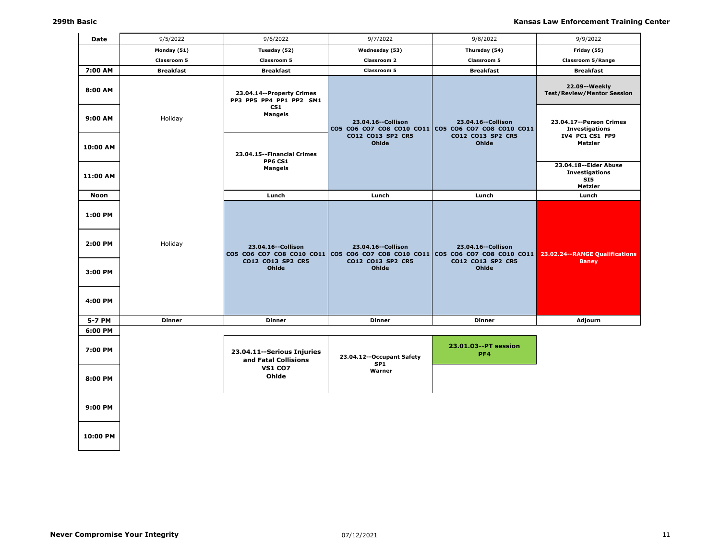| <b>Date</b>        | 9/5/2022         | 9/6/2022                                             | 9/7/2022                                                                                                  | 9/8/2022                                                                        | 9/9/2022                                                           |
|--------------------|------------------|------------------------------------------------------|-----------------------------------------------------------------------------------------------------------|---------------------------------------------------------------------------------|--------------------------------------------------------------------|
|                    | Monday (51)      | Tuesday (52)                                         | Wednesday (53)                                                                                            | Thursday (54)                                                                   | Friday (55)                                                        |
|                    | Classroom 5      | Classroom 5                                          | Classroom 2                                                                                               | Classroom 5                                                                     | <b>Classroom 5/Range</b>                                           |
| 7:00 AM            | <b>Breakfast</b> | <b>Breakfast</b>                                     | Classroom 5                                                                                               | <b>Breakfast</b>                                                                | <b>Breakfast</b>                                                   |
| 8:00 AM            |                  | 23.04.14--Property Crimes<br>PP3 PP5 PP4 PP1 PP2 SM1 |                                                                                                           |                                                                                 | 22.09--Weekly<br><b>Test/Review/Mentor Session</b>                 |
| 9:00 AM            | Holiday          | CS1<br><b>Mangels</b>                                | 23.04.16 -- Collison<br>CO5 CO6 CO7 CO8 CO10 CO11                                                         | 23.04.16 -- Collison<br>CO5 CO6 CO7 CO8 CO10 CO11                               | 23.04.17--Person Crimes<br><b>Investigations</b>                   |
| 10:00 AM           |                  | 23.04.15 -- Financial Crimes<br><b>PP6 CS1</b>       | CO12 CO13 SP2 CR5<br>Ohlde                                                                                | CO12 CO13 SP2 CR5<br>Ohlde                                                      | IV4 PC1 CS1 FP9<br>Metzler                                         |
| 11:00 AM           |                  | <b>Mangels</b>                                       |                                                                                                           |                                                                                 | 23.04.18 -- Elder Abuse<br><b>Investigations</b><br>SI5<br>Metzler |
| Noon               |                  | Lunch                                                | Lunch                                                                                                     | Lunch                                                                           | Lunch                                                              |
| 1:00 PM<br>2:00 PM | Holiday          |                                                      |                                                                                                           |                                                                                 |                                                                    |
| 3:00 PM            |                  | 23.04.16 -- Collison<br>CO12 CO13 SP2 CR5<br>Ohlde   | 23.04.16 -- Collison<br>CO5 CO6 CO7 CO8 CO10 CO11 CO5 CO6 CO7 CO8 CO10 CO11<br>CO12 CO13 SP2 CR5<br>Ohlde | 23.04.16 -- Collison<br>CO5 CO6 CO7 CO8 CO10 CO11<br>CO12 CO13 SP2 CR5<br>Ohlde | 23.02.24 -- RANGE Qualifications<br><b>Baney</b>                   |
| 4:00 PM            |                  |                                                      |                                                                                                           |                                                                                 |                                                                    |
| 5-7 PM             | <b>Dinner</b>    | <b>Dinner</b>                                        | <b>Dinner</b>                                                                                             | <b>Dinner</b>                                                                   | Adjourn                                                            |
| 6:00 PM            |                  |                                                      |                                                                                                           |                                                                                 |                                                                    |
| 7:00 PM            |                  | 23.04.11 -- Serious Injuries<br>and Fatal Collisions | 23.04.12--Occupant Safety<br>SP <sub>1</sub>                                                              | 23.01.03--PT session<br>PF <sub>4</sub>                                         |                                                                    |
| 8:00 PM            |                  | <b>VS1 CO7</b><br>Ohlde                              | Warner                                                                                                    |                                                                                 |                                                                    |
| 9:00 PM            |                  |                                                      |                                                                                                           |                                                                                 |                                                                    |
| 10:00 PM           |                  |                                                      |                                                                                                           |                                                                                 |                                                                    |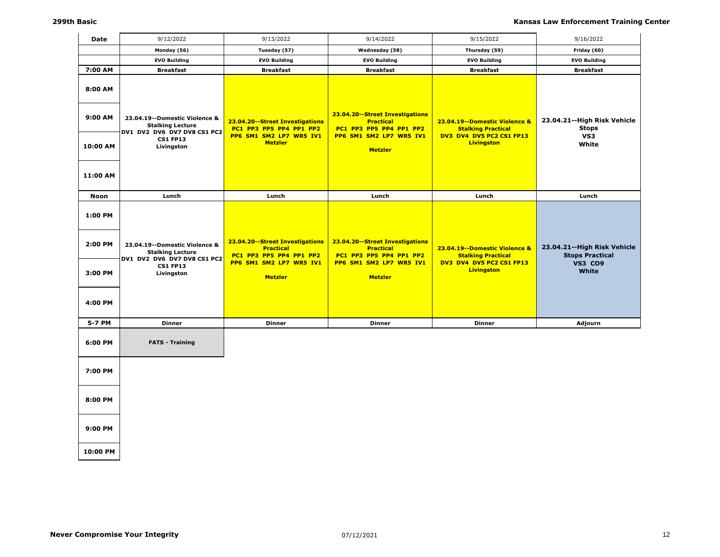| <b>Date</b>                              | 9/12/2022                                                                                                                  | 9/13/2022                                                                                                                   | 9/14/2022                                                                                                                   | 9/15/2022                                                                                                   | 9/16/2022                                                                               |
|------------------------------------------|----------------------------------------------------------------------------------------------------------------------------|-----------------------------------------------------------------------------------------------------------------------------|-----------------------------------------------------------------------------------------------------------------------------|-------------------------------------------------------------------------------------------------------------|-----------------------------------------------------------------------------------------|
|                                          | Monday (56)                                                                                                                | Tuesday (57)                                                                                                                | Wednesday (58)                                                                                                              | Thursday (59)                                                                                               | Friday (60)                                                                             |
|                                          | <b>EVO Building</b>                                                                                                        | <b>EVO Building</b>                                                                                                         | <b>EVO Building</b>                                                                                                         | <b>EVO Building</b>                                                                                         | <b>EVO Building</b>                                                                     |
| 7:00 AM                                  | <b>Breakfast</b>                                                                                                           | <b>Breakfast</b>                                                                                                            | <b>Breakfast</b>                                                                                                            | <b>Breakfast</b>                                                                                            | <b>Breakfast</b>                                                                        |
| 8:00 AM<br>9:00 AM                       | 23.04.19 -- Domestic Violence &<br><b>Stalking Lecture</b><br>DV1 DV2 DV6 DV7 DV8 CS1 PC2                                  | 23.04.20--Street Investigations<br>PC1 PP3 PP5 PP4 PP1 PP2                                                                  | 23.04.20--Street Investigations<br><b>Practical</b><br>PC1 PP3 PP5 PP4 PP1 PP2                                              | 23.04.19--Domestic Violence &<br><b>Stalking Practical</b>                                                  | 23.04.21--High Risk Vehicle<br><b>Stops</b>                                             |
| 10:00 AM                                 | <b>CS1 FP13</b><br>Livingston                                                                                              | PP6 SM1 SM2 LP7 WR5 IV1<br><b>Metzler</b>                                                                                   | PP6 SM1 SM2 LP7 WR5 IV1<br><b>Metzler</b>                                                                                   | DV3 DV4 DV5 PC2 CS1 FP13<br><b>Livingston</b>                                                               | VS3<br>White                                                                            |
| 11:00 AM                                 |                                                                                                                            |                                                                                                                             |                                                                                                                             |                                                                                                             |                                                                                         |
| Noon                                     | Lunch                                                                                                                      | Lunch                                                                                                                       | Lunch                                                                                                                       | Lunch                                                                                                       | Lunch                                                                                   |
| 1:00 PM<br>2:00 PM<br>3:00 PM<br>4:00 PM | 23.04.19 -- Domestic Violence &<br><b>Stalking Lecture</b><br>DV1 DV2 DV6 DV7 DV8 CS1 PC2<br><b>CS1 FP13</b><br>Livingston | 23.04.20--Street Investigations<br><b>Practical</b><br>PC1 PP3 PP5 PP4 PP1 PP2<br>PP6 SM1 SM2 LP7 WR5 IV1<br><b>Metzler</b> | 23.04.20--Street Investigations<br><b>Practical</b><br>PC1 PP3 PP5 PP4 PP1 PP2<br>PP6 SM1 SM2 LP7 WR5 IV1<br><b>Metzler</b> | 23.04.19--Domestic Violence &<br><b>Stalking Practical</b><br>DV3 DV4 DV5 PC2 CS1 FP13<br><b>Livingston</b> | 23.04.21--High Risk Vehicle<br><b>Stops Practical</b><br><b>VS3 CO9</b><br><b>White</b> |
|                                          |                                                                                                                            |                                                                                                                             |                                                                                                                             |                                                                                                             |                                                                                         |
| 5-7 PM                                   | <b>Dinner</b>                                                                                                              | <b>Dinner</b>                                                                                                               | <b>Dinner</b>                                                                                                               | <b>Dinner</b>                                                                                               | Adjourn                                                                                 |
| 6:00 PM                                  | <b>FATS - Training</b>                                                                                                     |                                                                                                                             |                                                                                                                             |                                                                                                             |                                                                                         |
| 7:00 PM                                  |                                                                                                                            |                                                                                                                             |                                                                                                                             |                                                                                                             |                                                                                         |
| 8:00 PM                                  |                                                                                                                            |                                                                                                                             |                                                                                                                             |                                                                                                             |                                                                                         |
| 9:00 PM                                  |                                                                                                                            |                                                                                                                             |                                                                                                                             |                                                                                                             |                                                                                         |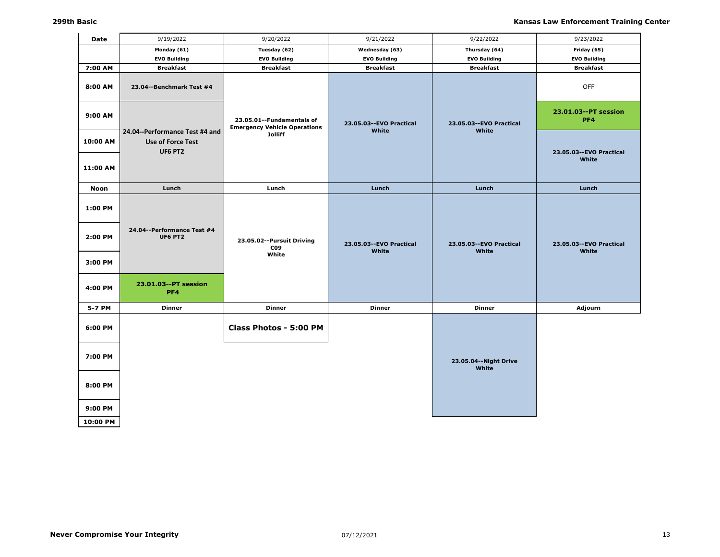| Date                | 9/19/2022                                                             | 9/20/2022                                                          | 9/21/2022                          | 9/22/2022                          | 9/23/2022                          |
|---------------------|-----------------------------------------------------------------------|--------------------------------------------------------------------|------------------------------------|------------------------------------|------------------------------------|
|                     | Monday (61)                                                           | Tuesday (62)                                                       | Wednesday (63)                     | Thursday (64)                      | Friday (65)                        |
|                     | <b>EVO Building</b>                                                   | <b>EVO Building</b>                                                | <b>EVO Building</b>                | <b>EVO Building</b>                | <b>EVO Building</b>                |
| 7:00 AM             | <b>Breakfast</b>                                                      | <b>Breakfast</b>                                                   | <b>Breakfast</b>                   | <b>Breakfast</b>                   | <b>Breakfast</b>                   |
| 8:00 AM             | 23.04--Benchmark Test #4                                              |                                                                    |                                    |                                    | OFF                                |
| 9:00 AM             |                                                                       | 23.05.01 -- Fundamentals of<br><b>Emergency Vehicle Operations</b> | 23.05.03 -- EVO Practical<br>White | 23.05.03 -- EVO Practical<br>White | 23.01.03--PT session<br>PF4        |
| 10:00 AM            | 24.04--Performance Test #4 and<br>Use of Force Test<br><b>UF6 PT2</b> | <b>Jolliff</b>                                                     |                                    |                                    | 23.05.03 -- EVO Practical          |
| 11:00 AM            |                                                                       |                                                                    |                                    |                                    | White                              |
| <b>Noon</b>         | Lunch                                                                 | Lunch                                                              | Lunch                              | Lunch                              | Lunch                              |
| 1:00 PM             |                                                                       |                                                                    |                                    |                                    |                                    |
| 2:00 PM             | 24.04--Performance Test #4<br>UF6 PT2                                 | 23.05.02--Pursuit Driving<br>CO <sub>9</sub><br>White              | 23.05.03 -- EVO Practical<br>White | 23.05.03 -- EVO Practical<br>White | 23.05.03 -- EVO Practical<br>White |
| 3:00 PM             |                                                                       |                                                                    |                                    |                                    |                                    |
| 4:00 PM             | 23.01.03--PT session<br>PF4                                           |                                                                    |                                    |                                    |                                    |
| 5-7 PM              | <b>Dinner</b>                                                         | <b>Dinner</b>                                                      | <b>Dinner</b>                      | <b>Dinner</b>                      | Adjourn                            |
| 6:00 PM             |                                                                       | Class Photos - 5:00 PM                                             |                                    |                                    |                                    |
| 7:00 PM             |                                                                       |                                                                    |                                    | 23.05.04 -- Night Drive<br>White   |                                    |
| 8:00 PM             |                                                                       |                                                                    |                                    |                                    |                                    |
| 9:00 PM<br>10:00 PM |                                                                       |                                                                    |                                    |                                    |                                    |